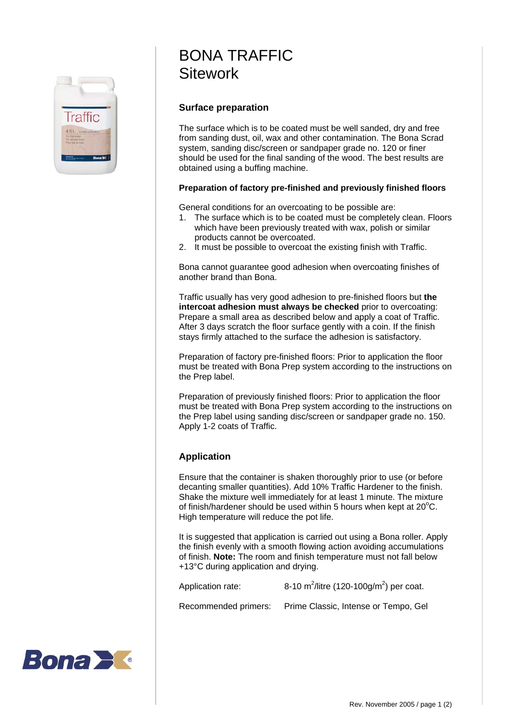

## BONA TRAFFIC **Sitework**

## **Surface preparation**

The surface which is to be coated must be well sanded, dry and free from sanding dust, oil, wax and other contamination. The Bona Scrad system, sanding disc/screen or sandpaper grade no. 120 or finer should be used for the final sanding of the wood. The best results are obtained using a buffing machine.

## **Preparation of factory pre-finished and previously finished floors**

General conditions for an overcoating to be possible are:

- 1. The surface which is to be coated must be completely clean. Floors which have been previously treated with wax, polish or similar products cannot be overcoated.
- 2. It must be possible to overcoat the existing finish with Traffic.

Bona cannot guarantee good adhesion when overcoating finishes of another brand than Bona.

Traffic usually has very good adhesion to pre-finished floors but **the intercoat adhesion must always be checked** prior to overcoating: Prepare a small area as described below and apply a coat of Traffic. After 3 days scratch the floor surface gently with a coin. If the finish stays firmly attached to the surface the adhesion is satisfactory.

Preparation of factory pre-finished floors: Prior to application the floor must be treated with Bona Prep system according to the instructions on the Prep label.

Preparation of previously finished floors: Prior to application the floor must be treated with Bona Prep system according to the instructions on the Prep label using sanding disc/screen or sandpaper grade no. 150. Apply 1-2 coats of Traffic.

## **Application**

Ensure that the container is shaken thoroughly prior to use (or before decanting smaller quantities). Add 10% Traffic Hardener to the finish. Shake the mixture well immediately for at least 1 minute. The mixture of finish/hardener should be used within 5 hours when kept at  $20^{\circ}$ C. High temperature will reduce the pot life.

It is suggested that application is carried out using a Bona roller. Apply the finish evenly with a smooth flowing action avoiding accumulations of finish. **Note:** The room and finish temperature must not fall below +13°C during application and drying.

Application rate: /litre (120-100g/m<sup>2</sup>) per coat.

Recommended primers: Prime Classic, Intense or Tempo, Gel